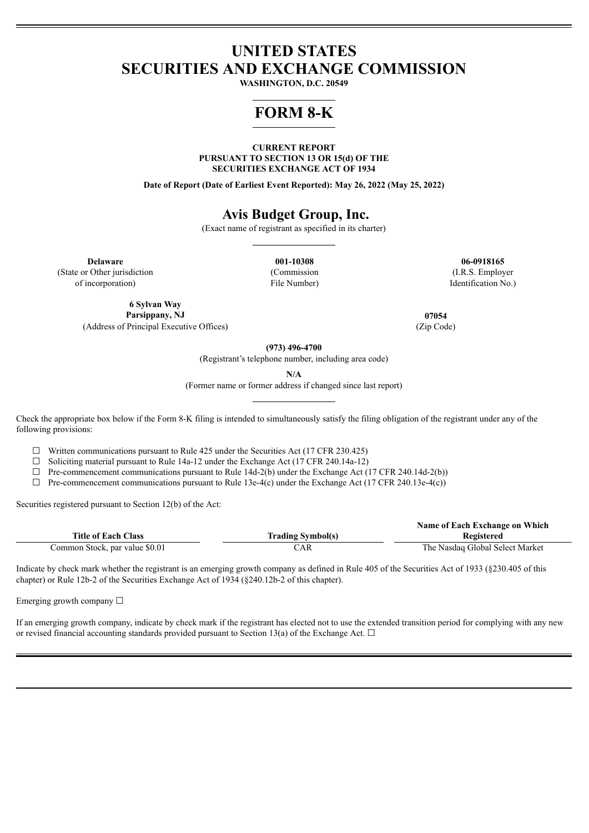## **UNITED STATES SECURITIES AND EXCHANGE COMMISSION**

**WASHINGTON, D.C. 20549**

# **FORM 8-K**

**CURRENT REPORT PURSUANT TO SECTION 13 OR 15(d) OF THE SECURITIES EXCHANGE ACT OF 1934**

**Date of Report (Date of Earliest Event Reported): May 26, 2022 (May 25, 2022)**

## **Avis Budget Group, Inc.**

(Exact name of registrant as specified in its charter)

**Delaware 001-10308 06-0918165** (State or Other jurisdiction of incorporation)

(Commission File Number)

(I.R.S. Employer Identification No.)

**6 Sylvan Way**

**Parsippany, NJ 07054** (Address of Principal Executive Offices) (Zip Code)

**(973) 496-4700**

(Registrant's telephone number, including area code)

**N/A**

(Former name or former address if changed since last report)

Check the appropriate box below if the Form 8-K filing is intended to simultaneously satisfy the filing obligation of the registrant under any of the following provisions:

 $\Box$  Written communications pursuant to Rule 425 under the Securities Act (17 CFR 230.425)

 $\Box$  Soliciting material pursuant to Rule 14a-12 under the Exchange Act (17 CFR 240.14a-12)

 $\Box$  Pre-commencement communications pursuant to Rule 14d-2(b) under the Exchange Act (17 CFR 240.14d-2(b))

 $\Box$  Pre-commencement communications pursuant to Rule 13e-4(c) under the Exchange Act (17 CFR 240.13e-4(c))

Securities registered pursuant to Section 12(b) of the Act:

|                                |                          | Name of Each Exchange on Which  |
|--------------------------------|--------------------------|---------------------------------|
| <b>Title of Each Class</b>     | <b>Trading Symbol(s)</b> | Registered                      |
| Common Stock, par value \$0.01 | CAR                      | The Nasdaq Global Select Market |

Indicate by check mark whether the registrant is an emerging growth company as defined in Rule 405 of the Securities Act of 1933 (§230.405 of this chapter) or Rule 12b-2 of the Securities Exchange Act of 1934 (§240.12b-2 of this chapter).

Emerging growth company  $\Box$ 

If an emerging growth company, indicate by check mark if the registrant has elected not to use the extended transition period for complying with any new or revised financial accounting standards provided pursuant to Section 13(a) of the Exchange Act.  $\Box$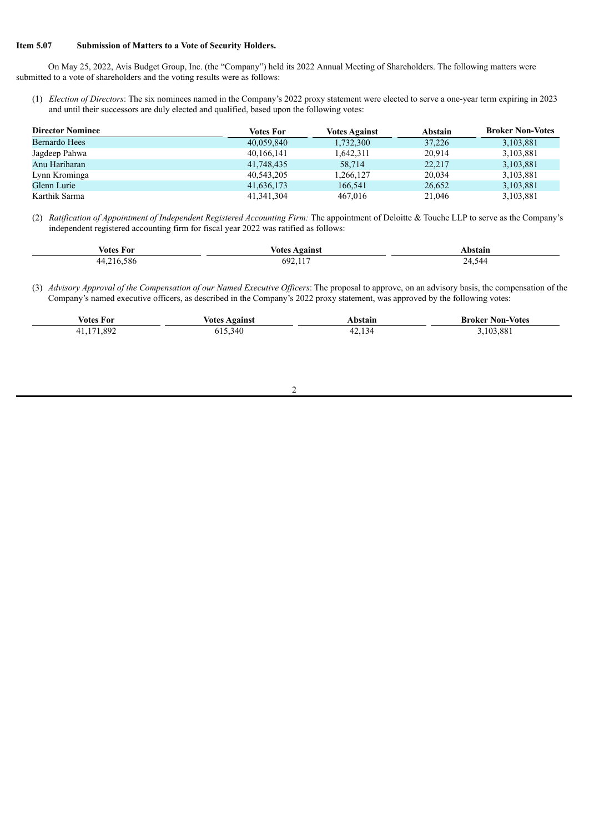#### **Item 5.07 Submission of Matters to a Vote of Security Holders.**

On May 25, 2022, Avis Budget Group, Inc. (the "Company") held its 2022 Annual Meeting of Shareholders. The following matters were submitted to a vote of shareholders and the voting results were as follows:

(1) *Election of Directors*: The six nominees named in the Company's 2022 proxy statement were elected to serve a one-year term expiring in 2023 and until their successors are duly elected and qualified, based upon the following votes:

| <b>Director Nominee</b> | Votes For    | <b>Votes Against</b> | <b>Abstain</b> | <b>Broker Non-Votes</b> |
|-------------------------|--------------|----------------------|----------------|-------------------------|
| Bernardo Hees           | 40,059,840   | 1,732,300            | 37,226         | 3,103,881               |
| Jagdeep Pahwa           | 40,166,141   | 1,642,311            | 20.914         | 3,103,881               |
| Anu Hariharan           | 41,748,435   | 58,714               | 22,217         | 3,103,881               |
| Lynn Krominga           | 40,543,205   | 1,266,127            | 20,034         | 3,103,881               |
| Glenn Lurie             | 41,636,173   | 166,541              | 26,652         | 3,103,881               |
| Karthik Sarma           | 41, 341, 304 | 467.016              | 21.046         | 3,103,881               |

(2) *Ratification of Appointment of Independent Registered Accounting Firm:* The appointment of Deloitte & Touche LLP to serve as the Company's independent registered accounting firm for fiscal year 2022 was ratified as follows:

| √otes For                        | <b>votes</b><br>Against | Abstain     |
|----------------------------------|-------------------------|-------------|
| 586<br>$1216$ .<br>44<br>- - - - | $69^{\circ}$<br>◡৴∠.,   | 24.5<br>544 |

(3) *Advisory Approval of the Compensation of our Named Executive Of icers*: The proposal to approve, on an advisory basis, the compensation of the Company's named executive officers, as described in the Company's 2022 proxy statement, was approved by the following votes:

| ⁄otes<br>For | Votes Against                   | bstain<br>.               | <b>Non-Votes</b><br>Broker |
|--------------|---------------------------------|---------------------------|----------------------------|
| 892<br>$-1$  | 340<br>$\overline{\phantom{0}}$ | $\sim$<br>$\sim$<br>44.IJ | .881                       |

#### 2